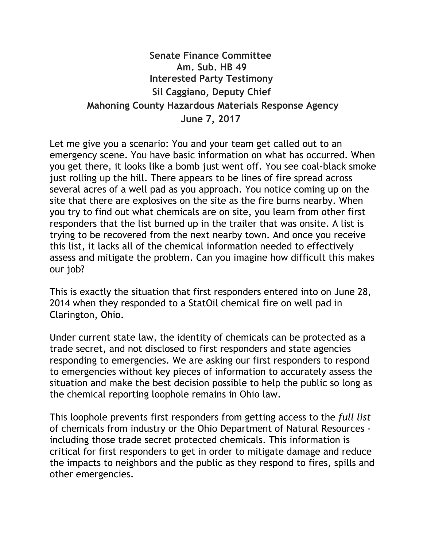## Senate Finance Committee Am. Sub. HB 49 Interested Party Testimony Sil Caggiano, Deputy Chief Mahoning County Hazardous Materials Response Agency June 7, 2017

Let me give you a scenario: You and your team get called out to an emergency scene. You have basic information on what has occurred. When you get there, it looks like a bomb just went off. You see coal‐black smoke just rolling up the hill. There appears to be lines of fire spread across several acres of a well pad as you approach. You notice coming up on the site that there are explosives on the site as the fire burns nearby. When you try to find out what chemicals are on site, you learn from other first responders that the list burned up in the trailer that was onsite. A list is trying to be recovered from the next nearby town. And once you receive this list, it lacks all of the chemical information needed to effectively assess and mitigate the problem. Can you imagine how difficult this makes our job?

This is exactly the situation that first responders entered into on June 28, 2014 when they responded to a StatOil chemical fire on well pad in Clarington, Ohio.

Under current state law, the identity of chemicals can be protected as a trade secret, and not disclosed to first responders and state agencies responding to emergencies. We are asking our first responders to respond to emergencies without key pieces of information to accurately assess the situation and make the best decision possible to help the public so long as the chemical reporting loophole remains in Ohio law.

This loophole prevents first responders from getting access to the full list of chemicals from industry or the Ohio Department of Natural Resources ‐ including those trade secret protected chemicals. This information is critical for first responders to get in order to mitigate damage and reduce the impacts to neighbors and the public as they respond to fires, spills and other emergencies.